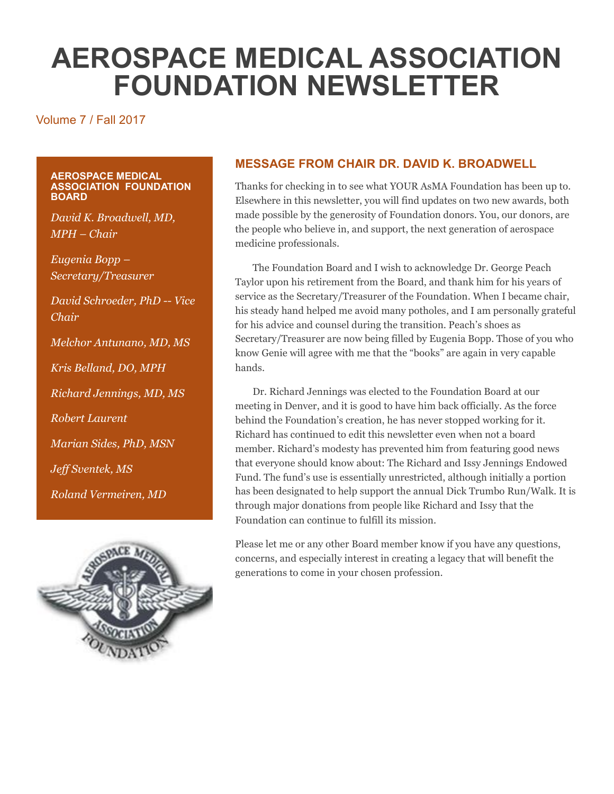# **AEROSPACE MEDICAL ASSOCIATION FOUNDATION NEWSLETTER**

#### Volume 7 / Fall 2017

#### **AEROSPACE MEDICAL ASSOCIATION FOUNDATION BOARD**

*David K. Broadwell, MD, MPH – Chair*

*Eugenia Bopp – Secretary/Treasurer*

*David Schroeder, PhD -- Vice Chair*

*Melchor Antunano, MD, MS*

*Kris Belland, DO, MPH*

*Richard Jennings, MD, MS*

*Robert Laurent*

*Marian Sides, PhD, MSN*

*Jeff Sventek, MS*

*Roland Vermeiren, MD*



#### **MESSAGE FROM CHAIR DR. DAVID K. BROADWELL**

Thanks for checking in to see what YOUR AsMA Foundation has been up to. Elsewhere in this newsletter, you will find updates on two new awards, both made possible by the generosity of Foundation donors. You, our donors, are the people who believe in, and support, the next generation of aerospace medicine professionals.

The Foundation Board and I wish to acknowledge Dr. George Peach Taylor upon his retirement from the Board, and thank him for his years of service as the Secretary/Treasurer of the Foundation. When I became chair, his steady hand helped me avoid many potholes, and I am personally grateful for his advice and counsel during the transition. Peach's shoes as Secretary/Treasurer are now being filled by Eugenia Bopp. Those of you who know Genie will agree with me that the "books" are again in very capable hands.

Dr. Richard Jennings was elected to the Foundation Board at our meeting in Denver, and it is good to have him back officially. As the force behind the Foundation's creation, he has never stopped working for it. Richard has continued to edit this newsletter even when not a board member. Richard's modesty has prevented him from featuring good news that everyone should know about: The Richard and Issy Jennings Endowed Fund. The fund's use is essentially unrestricted, although initially a portion has been designated to help support the annual Dick Trumbo Run/Walk. It is through major donations from people like Richard and Issy that the Foundation can continue to fulfill its mission.

Please let me or any other Board member know if you have any questions, concerns, and especially interest in creating a legacy that will benefit the generations to come in your chosen profession.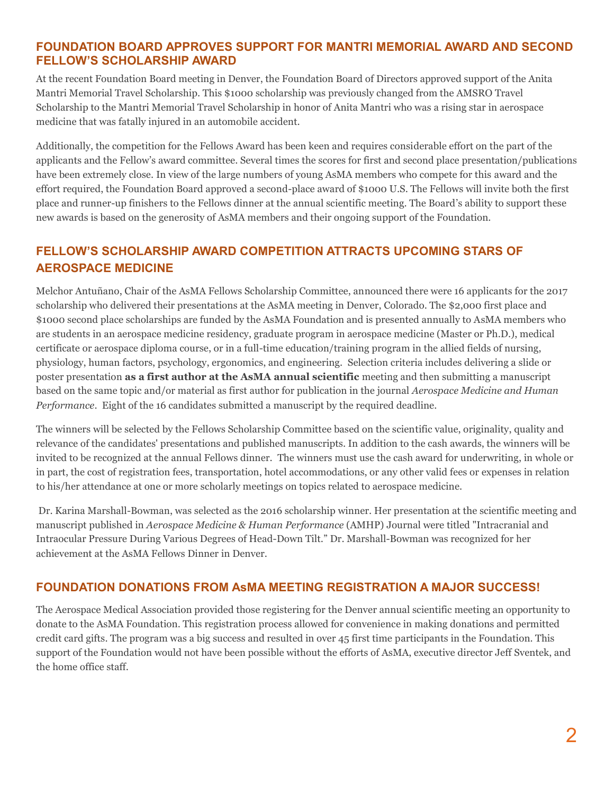#### **FOUNDATION BOARD APPROVES SUPPORT FOR MANTRI MEMORIAL AWARD AND SECOND FELLOW'S SCHOLARSHIP AWARD**

At the recent Foundation Board meeting in Denver, the Foundation Board of Directors approved support of the Anita Mantri Memorial Travel Scholarship. This \$1000 scholarship was previously changed from the AMSRO Travel Scholarship to the Mantri Memorial Travel Scholarship in honor of Anita Mantri who was a rising star in aerospace medicine that was fatally injured in an automobile accident.

Additionally, the competition for the Fellows Award has been keen and requires considerable effort on the part of the applicants and the Fellow's award committee. Several times the scores for first and second place presentation/publications have been extremely close. In view of the large numbers of young AsMA members who compete for this award and the effort required, the Foundation Board approved a second-place award of \$1000 U.S. The Fellows will invite both the first place and runner-up finishers to the Fellows dinner at the annual scientific meeting. The Board's ability to support these new awards is based on the generosity of AsMA members and their ongoing support of the Foundation.

## **FELLOW'S SCHOLARSHIP AWARD COMPETITION ATTRACTS UPCOMING STARS OF AEROSPACE MEDICINE**

Melchor Antuñano, Chair of the AsMA Fellows Scholarship Committee, announced there were 16 applicants for the 2017 scholarship who delivered their presentations at the AsMA meeting in Denver, Colorado. The \$2,000 first place and \$1000 second place scholarships are funded by the AsMA Foundation and is presented annually to AsMA members who are students in an aerospace medicine residency, graduate program in aerospace medicine (Master or Ph.D.), medical certificate or aerospace diploma course, or in a full-time education/training program in the allied fields of nursing, physiology, human factors, psychology, ergonomics, and engineering. Selection criteria includes delivering a slide or poster presentation **as a first author at the AsMA annual scientific** meeting and then submitting a manuscript based on the same topic and/or material as first author for publication in the journal *Aerospace Medicine and Human Performance*. Eight of the 16 candidates submitted a manuscript by the required deadline.

The winners will be selected by the Fellows Scholarship Committee based on the scientific value, originality, quality and relevance of the candidates' presentations and published manuscripts. In addition to the cash awards, the winners will be invited to be recognized at the annual Fellows dinner. The winners must use the cash award for underwriting, in whole or in part, the cost of registration fees, transportation, hotel accommodations, or any other valid fees or expenses in relation to his/her attendance at one or more scholarly meetings on topics related to aerospace medicine.

Dr. Karina Marshall-Bowman, was selected as the 2016 scholarship winner. Her presentation at the scientific meeting and manuscript published in *Aerospace Medicine & Human Performance* (AMHP) Journal were titled "Intracranial and Intraocular Pressure During Various Degrees of Head-Down Tilt." Dr. Marshall-Bowman was recognized for her achievement at the AsMA Fellows Dinner in Denver.

#### **FOUNDATION DONATIONS FROM AsMA MEETING REGISTRATION A MAJOR SUCCESS!**

The Aerospace Medical Association provided those registering for the Denver annual scientific meeting an opportunity to donate to the AsMA Foundation. This registration process allowed for convenience in making donations and permitted credit card gifts. The program was a big success and resulted in over 45 first time participants in the Foundation. This support of the Foundation would not have been possible without the efforts of AsMA, executive director Jeff Sventek, and the home office staff.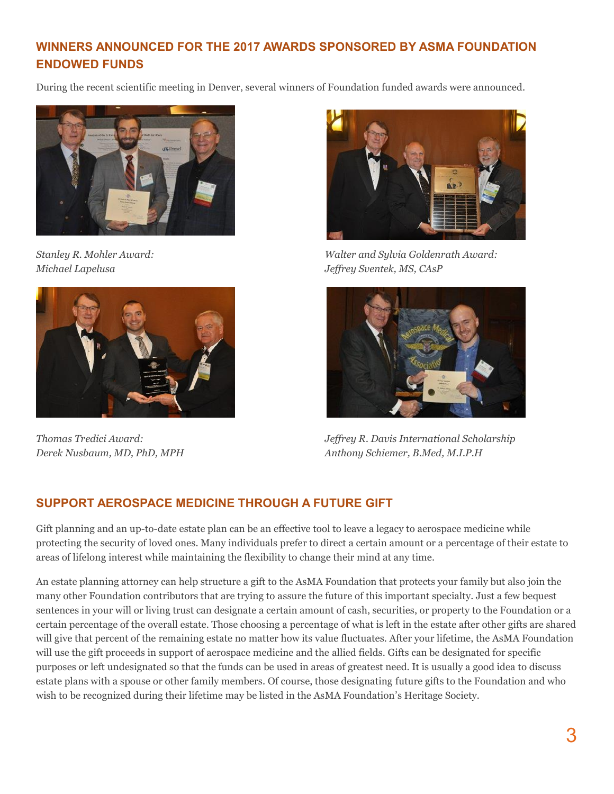## **WINNERS ANNOUNCED FOR THE 2017 AWARDS SPONSORED BY ASMA FOUNDATION ENDOWED FUNDS**

During the recent scientific meeting in Denver, several winners of Foundation funded awards were announced.







*Stanley R. Mohler Award: Walter and Sylvia Goldenrath Award: Michael Lapelusa Jeffrey Sventek, MS, CAsP*



*Thomas Tredici Award: Jeffrey R. Davis International Scholarship Derek Nusbaum, MD, PhD, MPH Anthony Schiemer, B.Med, M.I.P.H*

### **SUPPORT AEROSPACE MEDICINE THROUGH A FUTURE GIFT**

Gift planning and an up-to-date estate plan can be an effective tool to leave a legacy to aerospace medicine while protecting the security of loved ones. Many individuals prefer to direct a certain amount or a percentage of their estate to areas of lifelong interest while maintaining the flexibility to change their mind at any time.

An estate planning attorney can help structure a gift to the AsMA Foundation that protects your family but also join the many other Foundation contributors that are trying to assure the future of this important specialty. Just a few bequest sentences in your will or living trust can designate a certain amount of cash, securities, or property to the Foundation or a certain percentage of the overall estate. Those choosing a percentage of what is left in the estate after other gifts are shared will give that percent of the remaining estate no matter how its value fluctuates. After your lifetime, the AsMA Foundation will use the gift proceeds in support of aerospace medicine and the allied fields. Gifts can be designated for specific purposes or left undesignated so that the funds can be used in areas of greatest need. It is usually a good idea to discuss estate plans with a spouse or other family members. Of course, those designating future gifts to the Foundation and who wish to be recognized during their lifetime may be listed in the AsMA Foundation's Heritage Society.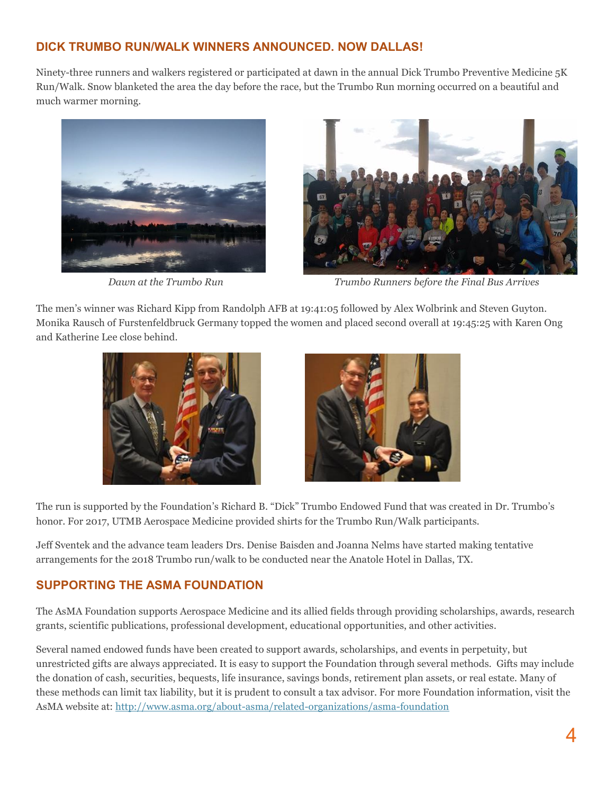#### **DICK TRUMBO RUN/WALK WINNERS ANNOUNCED. NOW DALLAS!**

Ninety-three runners and walkers registered or participated at dawn in the annual Dick Trumbo Preventive Medicine 5K Run/Walk. Snow blanketed the area the day before the race, but the Trumbo Run morning occurred on a beautiful and much warmer morning.





 *Dawn at the Trumbo Run Trumbo Runners before the Final Bus Arrives*

The men's winner was Richard Kipp from Randolph AFB at 19:41:05 followed by Alex Wolbrink and Steven Guyton. Monika Rausch of Furstenfeldbruck Germany topped the women and placed second overall at 19:45:25 with Karen Ong and Katherine Lee close behind.





The run is supported by the Foundation's Richard B. "Dick" Trumbo Endowed Fund that was created in Dr. Trumbo's honor. For 2017, UTMB Aerospace Medicine provided shirts for the Trumbo Run/Walk participants.

Jeff Sventek and the advance team leaders Drs. Denise Baisden and Joanna Nelms have started making tentative arrangements for the 2018 Trumbo run/walk to be conducted near the Anatole Hotel in Dallas, TX.

#### **SUPPORTING THE ASMA FOUNDATION**

The AsMA Foundation supports Aerospace Medicine and its allied fields through providing scholarships, awards, research grants, scientific publications, professional development, educational opportunities, and other activities.

Several named endowed funds have been created to support awards, scholarships, and events in perpetuity, but unrestricted gifts are always appreciated. It is easy to support the Foundation through several methods. Gifts may include the donation of cash, securities, bequests, life insurance, savings bonds, retirement plan assets, or real estate. Many of these methods can limit tax liability, but it is prudent to consult a tax advisor. For more Foundation information, visit the AsMA website at:<http://www.asma.org/about-asma/related-organizations/asma-foundation>